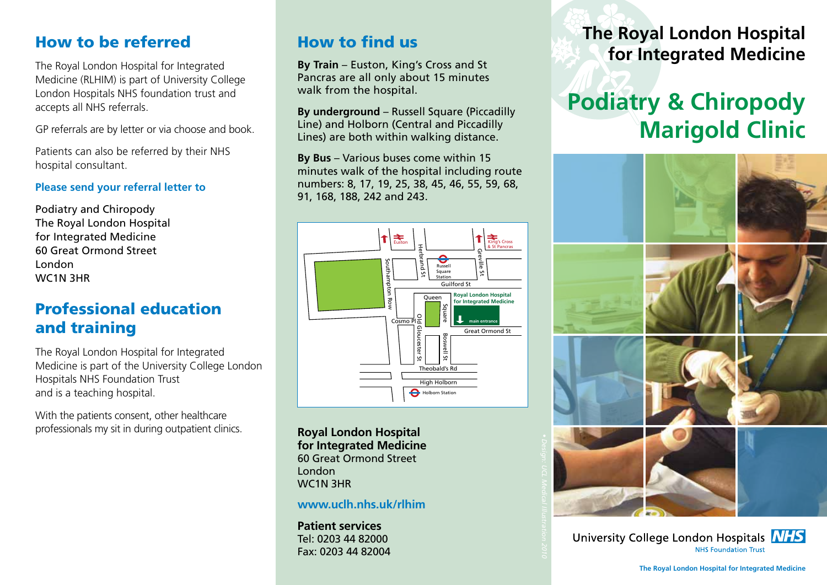#### How to be referred

The Royal London Hospital for Integrated Medicine (RLHIM) is part of University College London Hospitals NHS foundation trust and accepts all NHS referrals.

GP referrals are by letter or via choose and book.

Patients can also be referred by their NHS hospital consultant.

#### **Please send your referral letter to**

Podiatry and Chiropody The Royal London Hospital for Integrated Medicine 60 Great Ormond Street London WC1N 3HR

#### Professional education and training

The Royal London Hospital for Integrated Medicine is part of the University College London Hospitals NHS Foundation Trust and is a teaching hospital.

With the patients consent, other healthcare professionals my sit in during outpatient clinics.

#### How to find us

**By Train** – Euston, King's Cross and St Pancras are all only about 15 minutes walk from the hospital.

**By underground** – Russell Square (Piccadilly Line) and Holborn (Central and Piccadilly Lines) are both within walking distance.

**By Bus** – Various buses come within 15 minutes walk of the hospital including route numbers: 8, 17, 19, 25, 38, 45, 46, 55, 59, 68, 91, 168, 188, 242 and 243.



**Royal London Hospital for Integrated Medicine** 60 Great Ormond Street London WC1N 3HR

**www.uclh.nhs.uk/rlhim**

**Patient services** Tel: 0203 44 82000 Fax: 0203 44 82004 **The Royal London Hospital for Integrated Medicine**

# **Podiatry & Chiropody Marigold Clinic**